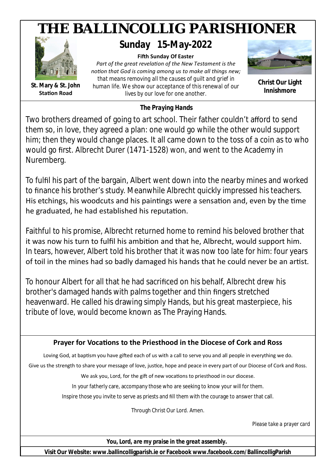

*The Praying Hands*

Two brothers dreamed of going to art school. Their father couldn't afford to send them so, in love, they agreed a plan: one would go while the other would support him; then they would change places. It all came down to the toss of a coin as to who would go first. Albrecht Durer (1471-1528) won, and went to the Academy in Nuremberg.

To fulfil his part of the bargain, Albert went down into the nearby mines and worked to finance his brother's study. Meanwhile Albrecht quickly impressed his teachers. His etchings, his woodcuts and his paintings were a sensation and, even by the time he graduated, he had established his reputation.

Faithful to his promise, Albrecht returned home to remind his beloved brother that it was now his turn to fulfil his ambition and that he, Albrecht, would support him. In tears, however, Albert told his brother that it was now too late for him: four years of toil in the mines had so badly damaged his hands that he could never be an artist.

To honour Albert for all that he had sacrificed on his behalf, Albrecht drew his brother's damaged hands with palms together and thin fingers stretched heavenward. He called his drawing simply Hands, but his great masterpiece, his tribute of love, would become known as The Praying Hands.

# Prayer for Vocations to the Priesthood in the Diocese of Cork and Ross

Loving God, at baptism you have gifted each of us with a call to serve you and all people in everything we do.

Give us the strength to share your message of love, justice, hope and peace in every part of our Diocese of Cork and Ross.

We ask you, Lord, for the gift of new vocations to priesthood in our diocese.

In your fatherly care, accompany those who are seeking to know your will for them.

Inspire those you invite to serve as priests and fill them with the courage to answer that call.

Through Christ Our Lord. Amen.

*Please take a prayer card*

*You, Lord, are my praise in the great assembly.*

**Visit Our Website: www.ballincolligparish.ie or Facebook www.facebook.com/BallincolligParish**